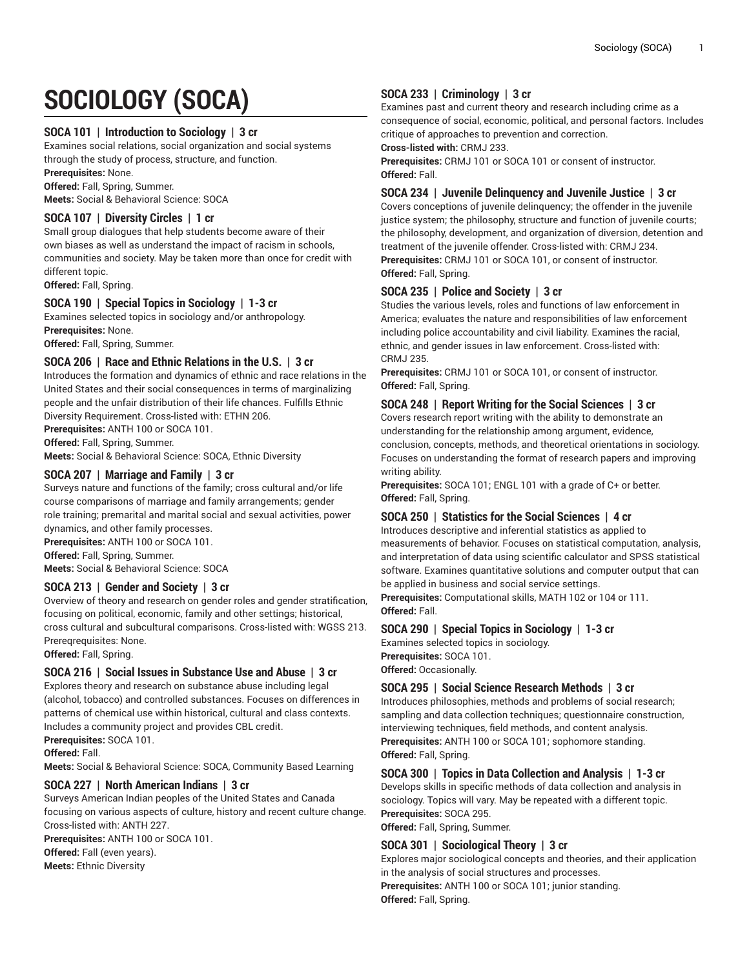# **SOCIOLOGY (SOCA)**

## **SOCA 101 | Introduction to Sociology | 3 cr**

Examines social relations, social organization and social systems through the study of process, structure, and function. **Prerequisites:** None.

**Offered:** Fall, Spring, Summer.

**Meets:** Social & Behavioral Science: SOCA

## **SOCA 107 | Diversity Circles | 1 cr**

Small group dialogues that help students become aware of their own biases as well as understand the impact of racism in schools, communities and society. May be taken more than once for credit with different topic.

**Offered:** Fall, Spring.

## **SOCA 190 | Special Topics in Sociology | 1-3 cr**

Examines selected topics in sociology and/or anthropology. **Prerequisites:** None.

**Offered:** Fall, Spring, Summer.

## **SOCA 206 | Race and Ethnic Relations in the U.S. | 3 cr**

Introduces the formation and dynamics of ethnic and race relations in the United States and their social consequences in terms of marginalizing people and the unfair distribution of their life chances. Fulfills Ethnic Diversity Requirement. Cross-listed with: ETHN 206.

**Prerequisites:** ANTH 100 or SOCA 101.

**Offered:** Fall, Spring, Summer.

**Meets:** Social & Behavioral Science: SOCA, Ethnic Diversity

## **SOCA 207 | Marriage and Family | 3 cr**

Surveys nature and functions of the family; cross cultural and/or life course comparisons of marriage and family arrangements; gender role training; premarital and marital social and sexual activities, power dynamics, and other family processes.

**Prerequisites:** ANTH 100 or SOCA 101.

**Offered:** Fall, Spring, Summer.

**Meets:** Social & Behavioral Science: SOCA

## **SOCA 213 | Gender and Society | 3 cr**

Overview of theory and research on gender roles and gender stratification, focusing on political, economic, family and other settings; historical, cross cultural and subcultural comparisons. Cross-listed with: WGSS 213. Prereqrequisites: None.

**Offered:** Fall, Spring.

## **SOCA 216 | Social Issues in Substance Use and Abuse | 3 cr**

Explores theory and research on substance abuse including legal (alcohol, tobacco) and controlled substances. Focuses on differences in patterns of chemical use within historical, cultural and class contexts. Includes a community project and provides CBL credit.

**Prerequisites:** SOCA 101.

**Offered:** Fall.

**Meets:** Social & Behavioral Science: SOCA, Community Based Learning

## **SOCA 227 | North American Indians | 3 cr**

Surveys American Indian peoples of the United States and Canada focusing on various aspects of culture, history and recent culture change. Cross-listed with: ANTH 227.

**Prerequisites:** ANTH 100 or SOCA 101. **Offered:** Fall (even years).

**Meets:** Ethnic Diversity

## **SOCA 233 | Criminology | 3 cr**

Examines past and current theory and research including crime as a consequence of social, economic, political, and personal factors. Includes critique of approaches to prevention and correction.

**Cross-listed with:** CRMJ 233.

**Prerequisites:** CRMJ 101 or SOCA 101 or consent of instructor. **Offered:** Fall.

## **SOCA 234 | Juvenile Delinquency and Juvenile Justice | 3 cr**

Covers conceptions of juvenile delinquency; the offender in the juvenile justice system; the philosophy, structure and function of juvenile courts; the philosophy, development, and organization of diversion, detention and treatment of the juvenile offender. Cross-listed with: CRMJ 234. **Prerequisites:** CRMJ 101 or SOCA 101, or consent of instructor. **Offered:** Fall, Spring.

## **SOCA 235 | Police and Society | 3 cr**

Studies the various levels, roles and functions of law enforcement in America; evaluates the nature and responsibilities of law enforcement including police accountability and civil liability. Examines the racial, ethnic, and gender issues in law enforcement. Cross-listed with: CRMJ 235.

**Prerequisites:** CRMJ 101 or SOCA 101, or consent of instructor. **Offered:** Fall, Spring.

## **SOCA 248 | Report Writing for the Social Sciences | 3 cr**

Covers research report writing with the ability to demonstrate an understanding for the relationship among argument, evidence, conclusion, concepts, methods, and theoretical orientations in sociology. Focuses on understanding the format of research papers and improving writing ability.

**Prerequisites:** SOCA 101; ENGL 101 with a grade of C+ or better. **Offered:** Fall, Spring.

## **SOCA 250 | Statistics for the Social Sciences | 4 cr**

Introduces descriptive and inferential statistics as applied to measurements of behavior. Focuses on statistical computation, analysis, and interpretation of data using scientific calculator and SPSS statistical software. Examines quantitative solutions and computer output that can be applied in business and social service settings.

**Prerequisites:** Computational skills, MATH 102 or 104 or 111. **Offered:** Fall.

## **SOCA 290 | Special Topics in Sociology | 1-3 cr**

Examines selected topics in sociology. **Prerequisites:** SOCA 101. **Offered:** Occasionally.

#### **SOCA 295 | Social Science Research Methods | 3 cr**

Introduces philosophies, methods and problems of social research; sampling and data collection techniques; questionnaire construction, interviewing techniques, field methods, and content analysis. **Prerequisites:** ANTH 100 or SOCA 101; sophomore standing. **Offered:** Fall, Spring.

## **SOCA 300 | Topics in Data Collection and Analysis | 1-3 cr**

Develops skills in specific methods of data collection and analysis in sociology. Topics will vary. May be repeated with a different topic. **Prerequisites:** SOCA 295. **Offered:** Fall, Spring, Summer.

#### **SOCA 301 | Sociological Theory | 3 cr**

Explores major sociological concepts and theories, and their application in the analysis of social structures and processes. **Prerequisites:** ANTH 100 or SOCA 101; junior standing. **Offered:** Fall, Spring.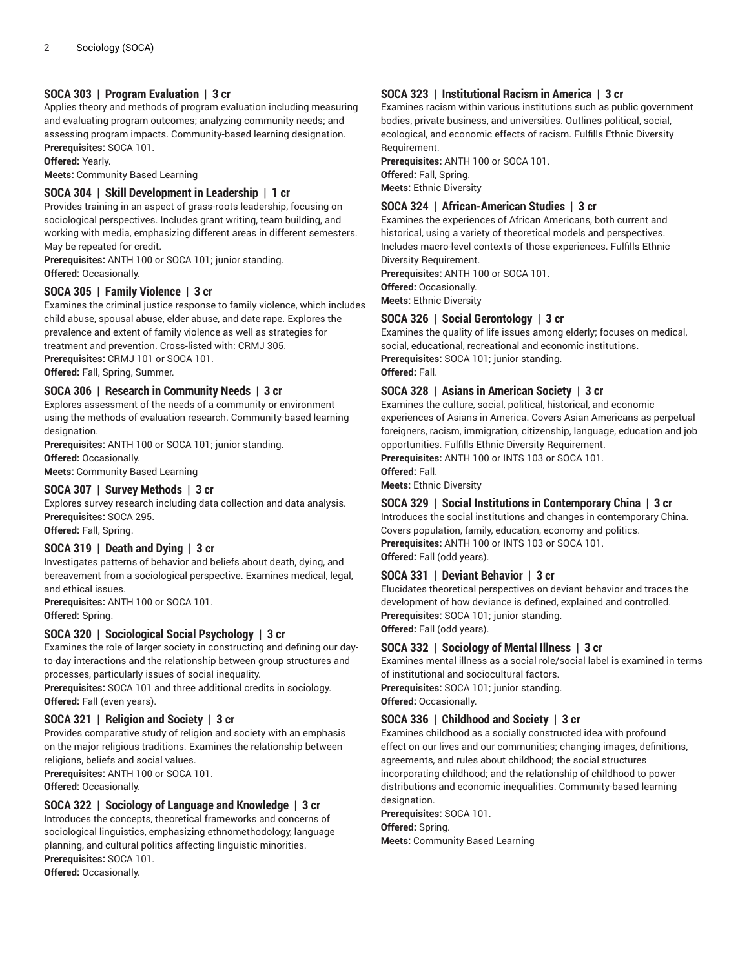## **SOCA 303 | Program Evaluation | 3 cr**

Applies theory and methods of program evaluation including measuring and evaluating program outcomes; analyzing community needs; and assessing program impacts. Community-based learning designation. **Prerequisites:** SOCA 101.

**Offered:** Yearly.

**Meets:** Community Based Learning

## **SOCA 304 | Skill Development in Leadership | 1 cr**

Provides training in an aspect of grass-roots leadership, focusing on sociological perspectives. Includes grant writing, team building, and working with media, emphasizing different areas in different semesters. May be repeated for credit.

**Prerequisites:** ANTH 100 or SOCA 101; junior standing. **Offered:** Occasionally.

## **SOCA 305 | Family Violence | 3 cr**

Examines the criminal justice response to family violence, which includes child abuse, spousal abuse, elder abuse, and date rape. Explores the prevalence and extent of family violence as well as strategies for treatment and prevention. Cross-listed with: CRMJ 305. **Prerequisites:** CRMJ 101 or SOCA 101.

**Offered:** Fall, Spring, Summer.

## **SOCA 306 | Research in Community Needs | 3 cr**

Explores assessment of the needs of a community or environment using the methods of evaluation research. Community-based learning designation.

**Prerequisites:** ANTH 100 or SOCA 101; junior standing. **Offered:** Occasionally.

**Meets:** Community Based Learning

## **SOCA 307 | Survey Methods | 3 cr**

Explores survey research including data collection and data analysis. **Prerequisites:** SOCA 295. **Offered:** Fall, Spring.

## **SOCA 319 | Death and Dying | 3 cr**

Investigates patterns of behavior and beliefs about death, dying, and bereavement from a sociological perspective. Examines medical, legal, and ethical issues.

**Prerequisites:** ANTH 100 or SOCA 101. **Offered:** Spring.

## **SOCA 320 | Sociological Social Psychology | 3 cr**

Examines the role of larger society in constructing and defining our dayto-day interactions and the relationship between group structures and processes, particularly issues of social inequality.

**Prerequisites:** SOCA 101 and three additional credits in sociology. **Offered:** Fall (even years).

## **SOCA 321 | Religion and Society | 3 cr**

Provides comparative study of religion and society with an emphasis on the major religious traditions. Examines the relationship between religions, beliefs and social values.

**Prerequisites:** ANTH 100 or SOCA 101. **Offered:** Occasionally.

## **SOCA 322 | Sociology of Language and Knowledge | 3 cr**

Introduces the concepts, theoretical frameworks and concerns of sociological linguistics, emphasizing ethnomethodology, language planning, and cultural politics affecting linguistic minorities. **Prerequisites:** SOCA 101.

**Offered:** Occasionally.

## **SOCA 323 | Institutional Racism in America | 3 cr**

Examines racism within various institutions such as public government bodies, private business, and universities. Outlines political, social, ecological, and economic effects of racism. Fulfills Ethnic Diversity Requirement.

**Prerequisites:** ANTH 100 or SOCA 101. **Offered:** Fall, Spring. **Meets:** Ethnic Diversity

## **SOCA 324 | African-American Studies | 3 cr**

Examines the experiences of African Americans, both current and historical, using a variety of theoretical models and perspectives. Includes macro-level contexts of those experiences. Fulfills Ethnic Diversity Requirement.

**Prerequisites:** ANTH 100 or SOCA 101.

**Offered:** Occasionally.

# **Meets:** Ethnic Diversity

#### **SOCA 326 | Social Gerontology | 3 cr**

Examines the quality of life issues among elderly; focuses on medical, social, educational, recreational and economic institutions. **Prerequisites:** SOCA 101; junior standing. **Offered:** Fall.

## **SOCA 328 | Asians in American Society | 3 cr**

Examines the culture, social, political, historical, and economic experiences of Asians in America. Covers Asian Americans as perpetual foreigners, racism, immigration, citizenship, language, education and job opportunities. Fulfills Ethnic Diversity Requirement.

**Prerequisites:** ANTH 100 or INTS 103 or SOCA 101.

**Offered:** Fall.

**Meets:** Ethnic Diversity

#### **SOCA 329 | Social Institutions in Contemporary China | 3 cr**

Introduces the social institutions and changes in contemporary China. Covers population, family, education, economy and politics. **Prerequisites:** ANTH 100 or INTS 103 or SOCA 101.

# **Offered:** Fall (odd years).

## **SOCA 331 | Deviant Behavior | 3 cr**

Elucidates theoretical perspectives on deviant behavior and traces the development of how deviance is defined, explained and controlled. **Prerequisites:** SOCA 101; junior standing. **Offered:** Fall (odd years).

## **SOCA 332 | Sociology of Mental Illness | 3 cr**

Examines mental illness as a social role/social label is examined in terms of institutional and sociocultural factors. **Prerequisites:** SOCA 101; junior standing.

**Offered:** Occasionally.

## **SOCA 336 | Childhood and Society | 3 cr**

Examines childhood as a socially constructed idea with profound effect on our lives and our communities; changing images, definitions, agreements, and rules about childhood; the social structures incorporating childhood; and the relationship of childhood to power distributions and economic inequalities. Community-based learning designation.

**Prerequisites:** SOCA 101. **Offered:** Spring. **Meets:** Community Based Learning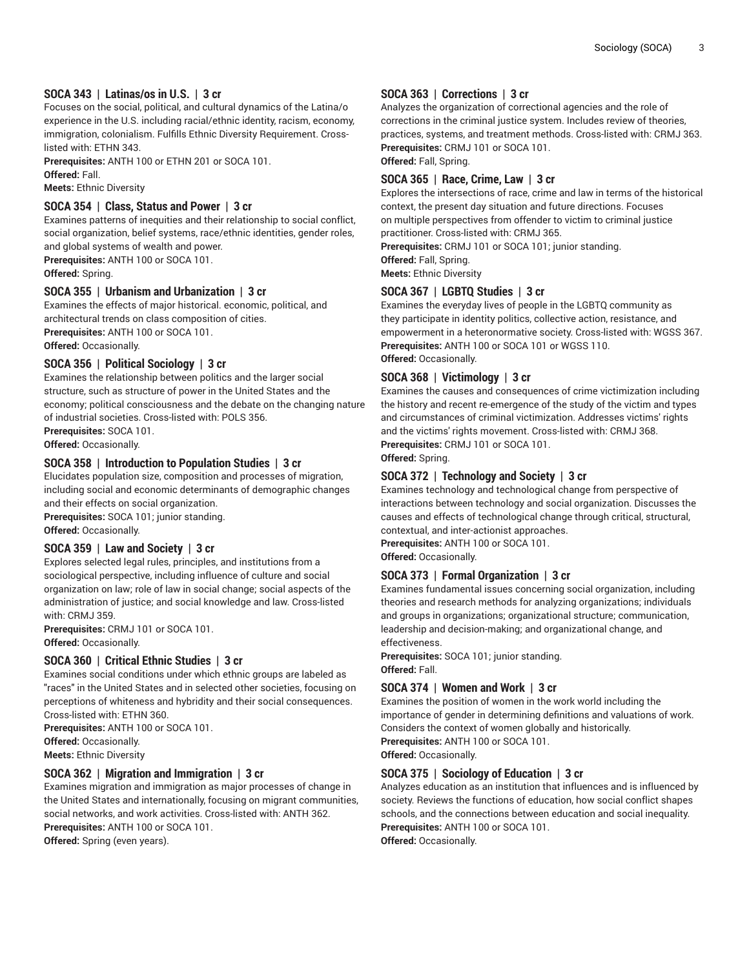## **SOCA 343 | Latinas/os in U.S. | 3 cr**

Focuses on the social, political, and cultural dynamics of the Latina/o experience in the U.S. including racial/ethnic identity, racism, economy, immigration, colonialism. Fulfills Ethnic Diversity Requirement. Crosslisted with: ETHN 343.

**Prerequisites:** ANTH 100 or ETHN 201 or SOCA 101. **Offered:** Fall.

**Meets:** Ethnic Diversity

#### **SOCA 354 | Class, Status and Power | 3 cr**

Examines patterns of inequities and their relationship to social conflict, social organization, belief systems, race/ethnic identities, gender roles, and global systems of wealth and power. **Prerequisites:** ANTH 100 or SOCA 101. **Offered:** Spring.

#### **SOCA 355 | Urbanism and Urbanization | 3 cr**

Examines the effects of major historical. economic, political, and architectural trends on class composition of cities. **Prerequisites:** ANTH 100 or SOCA 101. **Offered:** Occasionally.

## **SOCA 356 | Political Sociology | 3 cr**

Examines the relationship between politics and the larger social structure, such as structure of power in the United States and the economy; political consciousness and the debate on the changing nature of industrial societies. Cross-listed with: POLS 356.

**Prerequisites:** SOCA 101.

#### **Offered:** Occasionally.

#### **SOCA 358 | Introduction to Population Studies | 3 cr**

Elucidates population size, composition and processes of migration, including social and economic determinants of demographic changes and their effects on social organization.

**Prerequisites:** SOCA 101; junior standing.

**Offered:** Occasionally.

## **SOCA 359 | Law and Society | 3 cr**

Explores selected legal rules, principles, and institutions from a sociological perspective, including influence of culture and social organization on law; role of law in social change; social aspects of the administration of justice; and social knowledge and law. Cross-listed with: CRMJ 359.

**Prerequisites:** CRMJ 101 or SOCA 101.

**Offered:** Occasionally.

#### **SOCA 360 | Critical Ethnic Studies | 3 cr**

Examines social conditions under which ethnic groups are labeled as "races" in the United States and in selected other societies, focusing on perceptions of whiteness and hybridity and their social consequences. Cross-listed with: ETHN 360.

**Prerequisites:** ANTH 100 or SOCA 101. **Offered:** Occasionally. **Meets:** Ethnic Diversity

#### **SOCA 362 | Migration and Immigration | 3 cr**

Examines migration and immigration as major processes of change in the United States and internationally, focusing on migrant communities, social networks, and work activities. Cross-listed with: ANTH 362. **Prerequisites:** ANTH 100 or SOCA 101. **Offered:** Spring (even years).

#### **SOCA 363 | Corrections | 3 cr**

Analyzes the organization of correctional agencies and the role of corrections in the criminal justice system. Includes review of theories, practices, systems, and treatment methods. Cross-listed with: CRMJ 363. **Prerequisites:** CRMJ 101 or SOCA 101.

**Offered:** Fall, Spring.

#### **SOCA 365 | Race, Crime, Law | 3 cr**

Explores the intersections of race, crime and law in terms of the historical context, the present day situation and future directions. Focuses on multiple perspectives from offender to victim to criminal justice practitioner. Cross-listed with: CRMJ 365.

**Prerequisites:** CRMJ 101 or SOCA 101; junior standing. **Offered:** Fall, Spring.

**Meets:** Ethnic Diversity

## **SOCA 367 | LGBTQ Studies | 3 cr**

Examines the everyday lives of people in the LGBTQ community as they participate in identity politics, collective action, resistance, and empowerment in a heteronormative society. Cross-listed with: WGSS 367. **Prerequisites:** ANTH 100 or SOCA 101 or WGSS 110. **Offered:** Occasionally.

## **SOCA 368 | Victimology | 3 cr**

Examines the causes and consequences of crime victimization including the history and recent re-emergence of the study of the victim and types and circumstances of criminal victimization. Addresses victims' rights and the victims' rights movement. Cross-listed with: CRMJ 368. **Prerequisites:** CRMJ 101 or SOCA 101.

#### **Offered:** Spring.

## **SOCA 372 | Technology and Society | 3 cr**

Examines technology and technological change from perspective of interactions between technology and social organization. Discusses the causes and effects of technological change through critical, structural, contextual, and inter-actionist approaches.

**Prerequisites:** ANTH 100 or SOCA 101.

**Offered:** Occasionally.

#### **SOCA 373 | Formal Organization | 3 cr**

Examines fundamental issues concerning social organization, including theories and research methods for analyzing organizations; individuals and groups in organizations; organizational structure; communication, leadership and decision-making; and organizational change, and effectiveness.

**Prerequisites:** SOCA 101; junior standing. **Offered:** Fall.

#### **SOCA 374 | Women and Work | 3 cr**

Examines the position of women in the work world including the importance of gender in determining definitions and valuations of work. Considers the context of women globally and historically. **Prerequisites:** ANTH 100 or SOCA 101.

**Offered:** Occasionally.

#### **SOCA 375 | Sociology of Education | 3 cr**

Analyzes education as an institution that influences and is influenced by society. Reviews the functions of education, how social conflict shapes schools, and the connections between education and social inequality. **Prerequisites:** ANTH 100 or SOCA 101. **Offered:** Occasionally.